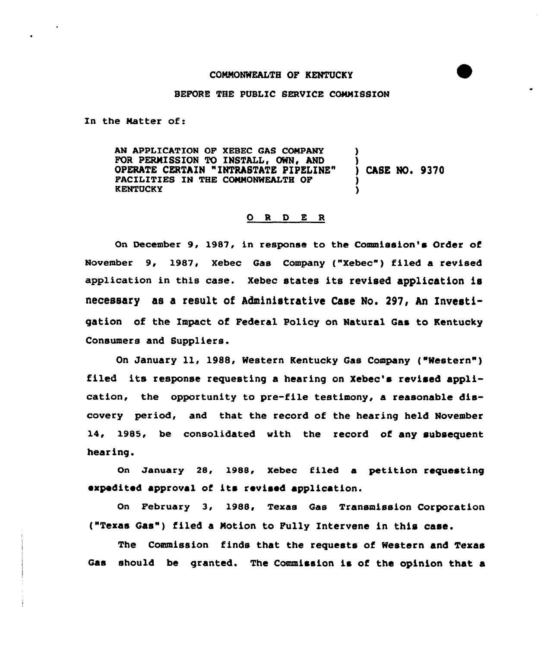## BEFORE THE PUBLIC SERVICE CONNISSION

In the Natter of:

AN APPLICATION OP XEBEC GAS CONPANY FOR PERMISSION TO INSTALL, OWN, AND OPERATE CERTAIN "INTRASTATE PIPELINE" PACILITIES IN THE CONNONWEALTH OP KENTUCKY CASE No. 9370

## O R D E R

On December 9, 1987, in response to the Commission's Order of November 9, 1987, Xebec Gas Company ("Xebec") filed a revised application in this case. xebec states its revised application is necessary as a result of Administrative Case No. 297, An Investigation of the Impact of Federal Policy on Natural Gas to Kentucky Consumers and Suppliers.

On January ll, 1988, Western Kentucky Gas Company ("Western" ) filed its response requesting a hearing on Xebec's revised application, the opportunity to pre-file testimony, a reasonable discovery period, and that the record of the hearing held November 14, 1985, be consolidated with the record of any subsequent hearing.

On January 28, 1988, Xebec filed a petition requesting expedited approval of its revised application.

On February 3, 1988, Texas Gas Transmission Corporation ("Texas Gas") filed <sup>a</sup> Notion to Pully Intervene in this case.

The Commission finds that the requests of Western and Texas Gas should be granted. The Commission is of the opinion that a